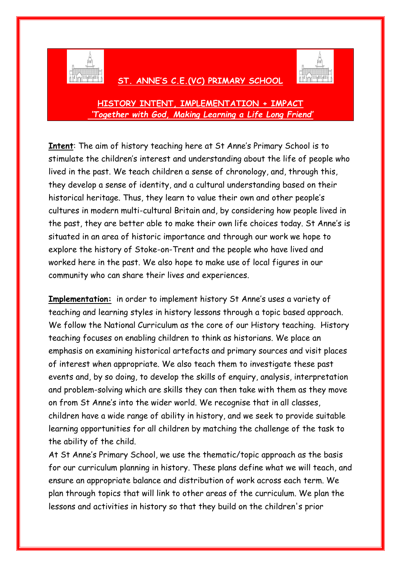

## **ST. ANNE'S C.E.(VC) PRIMARY SCHOOL**



**HISTORY INTENT, IMPLEMENTATION + IMPACT** *'Together with God, Making Learning a Life Long Friend'*

**Intent**: The aim of history teaching here at St Anne's Primary School is to stimulate the children's interest and understanding about the life of people who lived in the past. We teach children a sense of chronology, and, through this, they develop a sense of identity, and a cultural understanding based on their historical heritage. Thus, they learn to value their own and other people's cultures in modern multi-cultural Britain and, by considering how people lived in the past, they are better able to make their own life choices today. St Anne's is situated in an area of historic importance and through our work we hope to explore the history of Stoke-on-Trent and the people who have lived and worked here in the past. We also hope to make use of local figures in our community who can share their lives and experiences.

**Implementation:** in order to implement history St Anne's uses a variety of teaching and learning styles in history lessons through a topic based approach. We follow the National Curriculum as the core of our History teaching. History teaching focuses on enabling children to think as historians. We place an emphasis on examining historical artefacts and primary sources and visit places of interest when appropriate. We also teach them to investigate these past events and, by so doing, to develop the skills of enquiry, analysis, interpretation and problem-solving which are skills they can then take with them as they move on from St Anne's into the wider world. We recognise that in all classes, children have a wide range of ability in history, and we seek to provide suitable learning opportunities for all children by matching the challenge of the task to the ability of the child.

At St Anne's Primary School, we use the thematic/topic approach as the basis for our curriculum planning in history. These plans define what we will teach, and ensure an appropriate balance and distribution of work across each term. We plan through topics that will link to other areas of the curriculum. We plan the lessons and activities in history so that they build on the children's prior